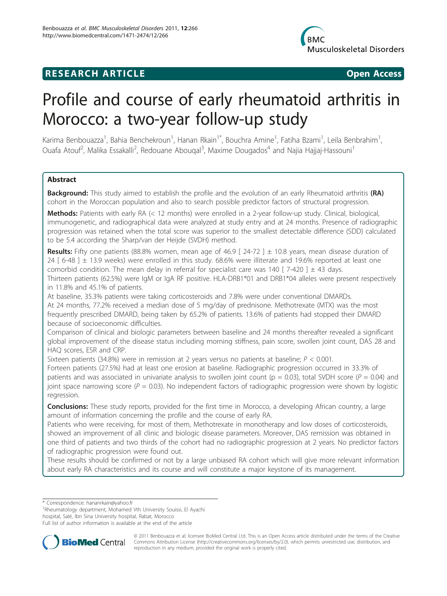

# **RESEARCH ARTICLE Example 2018 12:00 Open Access**

# Profile and course of early rheumatoid arthritis in Morocco: a two-year follow-up study

Karima Benbouazza<sup>1</sup>, Bahia Benchekroun<sup>1</sup>, Hanan Rkain<sup>1\*</sup>, Bouchra Amine<sup>1</sup>, Fatiha Bzami<sup>1</sup>, Leila Benbrahim<sup>1</sup> , Ouafa Atouf<sup>2</sup>, Malika Essakalli<sup>2</sup>, Redouane Abouqal<sup>3</sup>, Maxime Dougados<sup>4</sup> and Najia Hajjaj-Hassouni<sup>1</sup>

# Abstract

Background: This study aimed to establish the profile and the evolution of an early Rheumatoid arthritis (RA) cohort in the Moroccan population and also to search possible predictor factors of structural progression.

Methods: Patients with early RA (< 12 months) were enrolled in a 2-year follow-up study. Clinical, biological, immunogenetic, and radiographical data were analyzed at study entry and at 24 months. Presence of radiographic progression was retained when the total score was superior to the smallest detectable difference (SDD) calculated to be 5.4 according the Sharp/van der Heijde (SVDH) method.

**Results:** Fifty one patients (88.8% women, mean age of 46.9 [  $24-72$  ]  $\pm$  10.8 years, mean disease duration of 24 [ 6-48 ] ± 13.9 weeks) were enrolled in this study. 68.6% were illiterate and 19.6% reported at least one comorbid condition. The mean delay in referral for specialist care was 140 [  $7-420$  ]  $\pm$  43 days.

Thirteen patients (62.5%) were IgM or IgA RF positive. HLA-DRB1\*01 and DRB1\*04 alleles were present respectively in 11.8% and 45.1% of patients.

At baseline, 35.3% patients were taking corticosteroids and 7.8% were under conventional DMARDs. At 24 months, 77.2% received a median dose of 5 mg/day of prednisone. Methotrexate (MTX) was the most frequently prescribed DMARD, being taken by 65.2% of patients. 13.6% of patients had stopped their DMARD because of socioeconomic difficulties.

Comparison of clinical and biologic parameters between baseline and 24 months thereafter revealed a significant global improvement of the disease status including morning stiffness, pain score, swollen joint count, DAS 28 and HAQ scores, ESR and CRP.

Sixteen patients (34.8%) were in remission at 2 years versus no patients at baseline;  $P < 0.001$ .

Forteen patients (27.5%) had at least one erosion at baseline. Radiographic progression occurred in 33.3% of patients and was associated in univariate analysis to swollen joint count ( $p = 0.03$ ), total SVDH score ( $P = 0.04$ ) and joint space narrowing score ( $P = 0.03$ ). No independent factors of radiographic progression were shown by logistic regression.

**Conclusions:** These study reports, provided for the first time in Morocco, a developing African country, a large amount of information concerning the profile and the course of early RA.

Patients who were receiving, for most of them, Methotrexate in monotherapy and low doses of corticosteroids, showed an improvement of all clinic and biologic disease parameters. Moreover, DAS remission was obtained in one third of patients and two thirds of the cohort had no radiographic progression at 2 years. No predictor factors of radiographic progression were found out.

These results should be confirmed or not by a large unbiased RA cohort which will give more relevant information about early RA characteristics and its course and will constitute a major keystone of its management.

\* Correspondence: [hananrkain@yahoo.fr](mailto:hananrkain@yahoo.fr)

<sup>1</sup>Rheumatology department, Mohamed Vth University Souissi, El Ayachi

hospital, Salé, Ibn Sina University hospital, Rabat, Morocco

Full list of author information is available at the end of the article



© 2011 Benbouazza et al; licensee BioMed Central Ltd. This is an Open Access article distributed under the terms of the Creative Bio Med Central Commons Attribution License [\(http://creativecommons.org/licenses/by/2.0](http://creativecommons.org/licenses/by/2.0)), which permits unrestricted use, distribution, and reproduction in any medium, provided the original work is properly cited.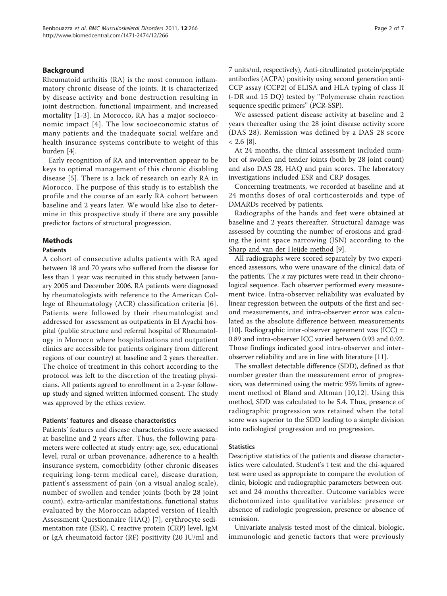# Background

Rheumatoid arthritis (RA) is the most common inflammatory chronic disease of the joints. It is characterized by disease activity and bone destruction resulting in joint destruction, functional impairment, and increased mortality [[1](#page-5-0)-[3\]](#page-5-0). In Morocco, RA has a major socioeconomic impact [[4](#page-5-0)]. The low socioeconomic status of many patients and the inadequate social welfare and health insurance systems contribute to weight of this burden [\[4\]](#page-5-0).

Early recognition of RA and intervention appear to be keys to optimal management of this chronic disabling disease [[5](#page-5-0)]. There is a lack of research on early RA in Morocco. The purpose of this study is to establish the profile and the course of an early RA cohort between baseline and 2 years later. We would like also to determine in this prospective study if there are any possible predictor factors of structural progression.

# Methods

#### **Patients**

A cohort of consecutive adults patients with RA aged between 18 and 70 years who suffered from the disease for less than 1 year was recruited in this study between January 2005 and December 2006. RA patients were diagnosed by rheumatologists with reference to the American College of Rheumatology (ACR) classification criteria [[6\]](#page-5-0). Patients were followed by their rheumatologist and addressed for assessment as outpatients in El Ayachi hospital (public structure and referral hospital of Rheumatology in Morocco where hospitalizations and outpatient clinics are accessible for patients originary from different regions of our country) at baseline and 2 years thereafter. The choice of treatment in this cohort according to the protocol was left to the discretion of the treating physicians. All patients agreed to enrollment in a 2-year followup study and signed written informed consent. The study was approved by the ethics review.

# Patients' features and disease characteristics

Patients' features and disease characteristics were assessed at baseline and 2 years after. Thus, the following parameters were collected at study entry: age, sex, educational level, rural or urban provenance, adherence to a health insurance system, comorbidity (other chronic diseases requiring long-term medical care), disease duration, patient's assessment of pain (on a visual analog scale), number of swollen and tender joints (both by 28 joint count), extra-articular manifestations, functional status evaluated by the Moroccan adapted version of Health Assessment Questionnaire (HAQ) [\[7](#page-5-0)], erythrocyte sedimentation rate (ESR), C reactive protein (CRP) level, IgM or IgA rheumatoid factor (RF) positivity (20 IU/ml and 7 units/ml, respectively), Anti-citrullinated protein/peptide antibodies (ACPA) positivity using second generation anti-CCP assay (CCP2) of ELISA and HLA typing of class II (-DR and 15 DQ) tested by ''Polymerase chain reaction sequence specific primers'' (PCR-SSP).

We assessed patient disease activity at baseline and 2 years thereafter using the 28 joint disease activity score (DAS 28). Remission was defined by a DAS 28 score  $< 2.6$  [[8](#page-5-0)].

At 24 months, the clinical assessment included number of swollen and tender joints (both by 28 joint count) and also DAS 28, HAQ and pain scores. The laboratory investigations included ESR and CRP dosages.

Concerning treatments, we recorded at baseline and at 24 months doses of oral corticosteroids and type of DMARDs received by patients.

Radiographs of the hands and feet were obtained at baseline and 2 years thereafter. Structural damage was assessed by counting the number of erosions and grading the joint space narrowing (JSN) according to the Sharp and van der Heijde method [[9\]](#page-5-0).

All radiographs were scored separately by two experienced assessors, who were unaware of the clinical data of the patients. The  $x$  ray pictures were read in their chronological sequence. Each observer performed every measurement twice. Intra-observer reliability was evaluated by linear regression between the outputs of the first and second measurements, and intra-observer error was calculated as the absolute difference between measurements [[10\]](#page-5-0). Radiographic inter-observer agreement was (ICC) = 0.89 and intra-observer ICC varied between 0.93 and 0.92. Those findings indicated good intra-observer and interobserver reliability and are in line with literature [[11](#page-5-0)].

The smallest detectable difference (SDD), defined as that number greater than the measurement error of progression, was determined using the metric 95% limits of agreement method of Bland and Altman [[10](#page-5-0),[12\]](#page-5-0). Using this method, SDD was calculated to be 5.4. Thus, presence of radiographic progression was retained when the total score was superior to the SDD leading to a simple division into radiological progression and no progression.

## **Statistics**

Descriptive statistics of the patients and disease characteristics were calculated. Student's t test and the chi-squared test were used as appropriate to compare the evolution of clinic, biologic and radiographic parameters between outset and 24 months thereafter. Outcome variables were dichotomized into qualitative variables: presence or absence of radiologic progression, presence or absence of remission.

Univariate analysis tested most of the clinical, biologic, immunologic and genetic factors that were previously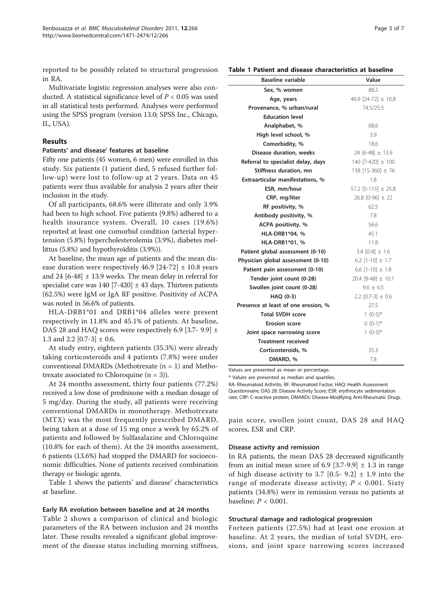reported to be possibly related to structural progression in RA.

Multivariate logistic regression analyses were also conducted. A statistical significance level of  $P < 0.05$  was used in all statistical tests performed. Analyses were performed using the SPSS program (version 13.0; SPSS Inc., Chicago, IL, USA).

# Results

# Patients' and disease' features at baseline

Fifty one patients (45 women, 6 men) were enrolled in this study. Six patients (1 patient died, 5 refused further follow-up) were lost to follow-up at 2 years. Data on 45 patients were thus available for analysis 2 years after their inclusion in the study.

Of all participants, 68.6% were illiterate and only 3.9% had been to high school. Five patients (9.8%) adhered to a health insurance system. Overall, 10 cases (19.6%) reported at least one comorbid condition (arterial hypertension (5.8%) hypercholesterolemia (3.9%), diabetes mellittus (5.8%) and hypothyroïditis (3.9%)).

At baseline, the mean age of patients and the mean disease duration were respectively 46.9  $[24-72] \pm 10.8$  years and 24  $[6-48]$  ± 13.9 weeks. The mean delay in referral for specialist care was  $140$  [7-420]  $\pm$  43 days. Thirteen patients (62.5%) were IgM or IgA RF positive. Positivity of ACPA was noted in 56.6% of patients.

HLA-DRB1\*01 and DRB1\*04 alleles were present respectively in 11.8% and 45.1% of patients. At baseline, DAS 28 and HAQ scores were respectively 6.9 [3.7- 9.9] ± 1.3 and 2.2  $[0.7-3] \pm 0.6$ .

At study entry, eighteen patients (35.3%) were already taking corticosteroids and 4 patients (7.8%) were under conventional DMARDs (Methotrexate  $(n = 1)$  and Methotrexate associated to Chloroquine  $(n = 3)$ ).

At 24 months assessment, thirty four patients (77.2%) received a low dose of prednisone with a median dosage of 5 mg/day. During the study, all patients were receiving conventional DMARDs in monotherapy. Methotrexate (MTX) was the most frequently prescribed DMARD, being taken at a dose of 15 mg once a week by 65.2% of patients and followed by Sulfasalazine and Chloroquine (10.8% for each of them). At the 24 months assessment, 6 patients (13.6%) had stopped the DMARD for socioeconomic difficulties. None of patients received combination therapy or biologic agents.

Table 1 shows the patients' and disease' characteristics at baseline.

## Early RA evolution between baseline and at 24 months

Table [2](#page-3-0) shows a comparison of clinical and biologic parameters of the RA between inclusion and 24 months later. These results revealed a significant global improvement of the disease status including morning stiffness,

| Page 3 of 7 |  |  |  |
|-------------|--|--|--|
|-------------|--|--|--|

#### Table 1 Patient and disease characteristics at baseline

| <b>Baseline variable</b>            | Value                   |
|-------------------------------------|-------------------------|
| Sex. % women                        | 88.2                    |
| Age, years                          | 46.9 $[24-72] \pm 10.8$ |
| Provenance, % urban/rural           | 74.5/25.5               |
| <b>Education level</b>              |                         |
| Analphabet, %                       | 68.6                    |
| High level school, %                | 3.9                     |
| Comorbidity, %                      | 18.6                    |
| Disease duration, weeks             | 24 [6-48] ± 13.9        |
| Referral to specialist delay, days  | 140 [7-420] ± 100       |
| Stiffness duration, mn              | 138 [15-360] ± 76       |
| Extraarticular manifestations, %    | 1.8                     |
| ESR, mm/hour                        | 57.2 [5-115] $\pm$ 25.8 |
| CRP, mg/liter                       | 26.8 $[0-96] \pm 22$    |
| RF positivity, %                    | 62.5                    |
| Antibody positivity, %              | 7.8                     |
| ACPA positivity, %                  | 56.6                    |
| HLA-DRB1*04, %                      | 45.1                    |
| <b>HLA-DRB1*01, %</b>               | 11.8                    |
| Patient global assessment (0-10)    | $3.4$ [0-8] $\pm$ 1.6   |
| Physician global assessment (0-10)  | 6.2 $[1-10] \pm 1.7$    |
| Patient pain assessment (0-10)      | 6.6 $[1-10] \pm 1.8$    |
| Tender joint count (0-28)           | 20.4 [8-48] $\pm$ 10.1  |
| Swollen joint count (0-28)          | $9.6 \pm 6.5$           |
| HAO (0-3)                           | 2.2 $[0.7-3] \pm 0.6$   |
| Presence at least of one erosion, % | 27.5                    |
| <b>Total SVDH score</b>             | $1(0-5)*$               |
| <b>Erosion score</b>                | $0(0-1)*$               |
| Joint space narrowing score         | $1(0-3)*$               |
| <b>Treatment received</b>           |                         |
| Corticosteroids, %                  | 35.3                    |
| DMARD, %                            | 7.8                     |

Values are presented as mean or percentage.

\* Values are presented as median and quartiles.

RA: Rheumatoid Arthritis: RF: Rheumatoid Factor; HAQ: Health Assessment Questionnaire; DAS 28: Disease Activity Score; ESR: erythrocyte sedimentation rate; CRP: C-reactive protein; DMARDs: Disease-Modifying Anti-Rheumatic Drugs.

pain score, swollen joint count, DAS 28 and HAQ scores, ESR and CRP.

#### Disease activity and remission

In RA patients, the mean DAS 28 decreased significantly from an initial mean score of 6.9 [3.7-9.9]  $\pm$  1.3 in range of high disease activity to 3.7  $[0.5-9.2] \pm 1.9$  into the range of moderate disease activity;  $P < 0.001$ . Sixty patients (34.8%) were in remission versus no patients at baseline;  $P < 0.001$ .

# Structural damage and radiological progression

Forteen patients (27.5%) had at least one erosion at baseline. At 2 years, the median of total SVDH, erosions, and joint space narrowing scores increased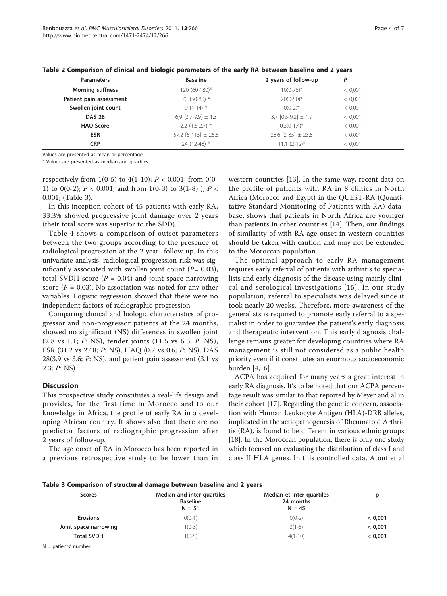| <b>Parameters</b>        | <b>Baseline</b>         | 2 years of follow-up    | P       |
|--------------------------|-------------------------|-------------------------|---------|
| <b>Morning stiffness</b> | 120 (60-180)*           | $10(0-75)^*$            | < 0.001 |
| Patient pain assessment  | 70 (50-80) *            | $20(0-50)$ *            | < 0.001 |
| Swollen joint count      | $9(4-14)$ *             | $O(0-2)$ *              | < 0.001 |
| <b>DAS 28</b>            | 6,9 [3.7-9.9] $\pm$ 1.3 | 3,7 $[0.5-9.2] \pm 1.9$ | < 0.001 |
| <b>HAO Score</b>         | $2,2$ (1.6-2.7) *       | $0,3(0-1,4)^{*}$        | < 0.001 |
| <b>ESR</b>               | 57,2 [5-115] $\pm$ 25,8 | 28,6 $[2-85] \pm 23.5$  | < 0.001 |
| <b>CRP</b>               | 24 (12-48) *            | $11,1(2-12)^{*}$        | < 0.001 |

<span id="page-3-0"></span>Table 2 Comparison of clinical and biologic parameters of the early RA between baseline and 2 years

Values are presented as mean or percentage.

\* Values are presented as median and quartiles.

respectively from 1(0-5) to 4(1-10);  $P < 0.001$ , from 0(0-1) to 0(0-2);  $P < 0.001$ , and from 1(0-3) to 3(1-8) );  $P <$ 0.001; (Table 3).

In this inception cohort of 45 patients with early RA, 33.3% showed progressive joint damage over 2 years (their total score was superior to the SDD).

Table [4](#page-4-0) shows a comparison of outset parameters between the two groups according to the presence of radiological progression at the 2 year- follow-up. In this univariate analysis, radiological progression risk was significantly associated with swollen joint count ( $P= 0.03$ ), total SVDH score ( $P = 0.04$ ) and joint space narrowing score ( $P = 0.03$ ). No association was noted for any other variables. Logistic regression showed that there were no independent factors of radiographic progression.

Comparing clinical and biologic characteristics of progressor and non-progressor patients at the 24 months, showed no significant (NS) differences in swollen joint (2.8 vs 1.1; P: NS), tender joints (11.5 vs 6.5; P: NS), ESR (31.2 vs 27.8; P: NS), HAQ (0.7 vs 0.6; P: NS), DAS  $28(3.9 \text{ vs } 3.6; P: \text{ NS})$ , and patient pain assessment  $(3.1 \text{ vs } 3.6; P: \text{ NS})$ 2.3; P: NS).

# **Discussion**

This prospective study constitutes a real-life design and provides, for the first time in Morocco and to our knowledge in Africa, the profile of early RA in a developing African country. It shows also that there are no predictor factors of radiographic progression after 2 years of follow-up.

The age onset of RA in Morocco has been reported in a previous retrospective study to be lower than in western countries [\[13](#page-5-0)]. In the same way, recent data on the profile of patients with RA in 8 clinics in North Africa (Morocco and Egypt) in the QUEST-RA (Quantitative Standard Monitoring of Patients with RA) database, shows that patients in North Africa are younger than patients in other countries [[14\]](#page-5-0). Then, our findings of similarity of with RA age onset in western countries should be taken with caution and may not be extended to the Moroccan population.

The optimal approach to early RA management requires early referral of patients with arthritis to specialists and early diagnosis of the disease using mainly clinical and serological investigations [[15\]](#page-5-0). In our study population, referral to specialists was delayed since it took nearly 20 weeks. Therefore, more awareness of the generalists is required to promote early referral to a specialist in order to guarantee the patient's early diagnosis and therapeutic intervention. This early diagnosis challenge remains greater for developing countries where RA management is still not considered as a public health priority even if it constitutes an enormous socioeconomic burden [[4](#page-5-0),[16](#page-5-0)].

ACPA has acquired for many years a great interest in early RA diagnosis. It's to be noted that our ACPA percentage result was similar to that reported by Meyer and al in their cohort [\[17](#page-6-0)]. Regarding the genetic concern, association with Human Leukocyte Antigen (HLA)-DRB alleles, implicated in the aetiopathogenesis of Rheumatoid Arthritis (RA), is found to be different in various ethnic groups [[18\]](#page-6-0). In the Moroccan population, there is only one study which focused on evaluating the distribution of class I and class II HLA genes. In this controlled data, Atouf et al

#### Table 3 Comparison of structural damage between baseline and 2 years

| Scores                | Median and inter quartiles<br><b>Baseline</b><br>$N = 51$ | Median et inter quartiles<br>24 months<br>$N = 45$ |         |
|-----------------------|-----------------------------------------------------------|----------------------------------------------------|---------|
| <b>Erosions</b>       | $O(O-1)$                                                  | $O(O-2)$                                           | < 0.001 |
| Joint space narrowing | $1(0-3)$                                                  | $3(1-8)$                                           | < 0.001 |
| <b>Total SVDH</b>     | $1(0-5)$                                                  | $4(1-10)$                                          | < 0.001 |

N = patients' number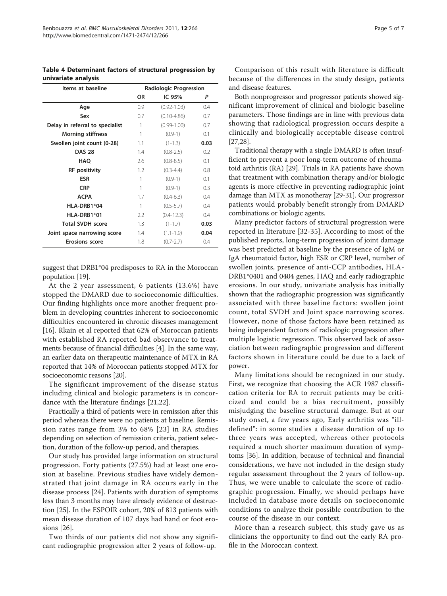<span id="page-4-0"></span>Table 4 Determinant factors of structural progression by univariate analysis

| Items at baseline               | <b>Radiologic Progression</b> |                 |                |
|---------------------------------|-------------------------------|-----------------|----------------|
|                                 | OR                            | IC 95%          | P              |
| Age                             | 0.9                           | $(0.92 - 1.03)$ | 0.4            |
| Sex                             | 0.7                           | $(0.10 - 4.86)$ | 0.7            |
| Delay in referral to specialist | 1                             | $(0.99 - 1.00)$ | 0.7            |
| <b>Morning stiffness</b>        | 1                             | $(0.9-1)$       | 01             |
| Swollen joint count (0-28)      | 1.1                           | $(1-1.3)$       | 0.03           |
| <b>DAS 28</b>                   | 1.4                           | $(0.8 - 2.5)$   | 0.2            |
| HAO                             | 2.6                           | $(0.8 - 8.5)$   | 0.1            |
| <b>RF</b> positivity            | 1.2                           | $(0.3 - 4.4)$   | 0.8            |
| <b>ESR</b>                      | 1                             | $(0.9-1)$       | 0 <sub>1</sub> |
| <b>CRP</b>                      | 1                             | $(0.9-1)$       | 0.3            |
| <b>ACPA</b>                     | 1.7                           | $(0.4-6.3)$     | 0.4            |
| HLA-DRB1*04                     | 1                             | $(0.5 - 5.7)$   | 0.4            |
| HLA-DRB1*01                     | 2.2                           | $(0.4 - 12.3)$  | 0.4            |
| <b>Total SVDH score</b>         | 1.3                           | $(1 - 1.7)$     | 0.03           |
| Joint space narrowing score     | 1.4                           | $(1.1 - 1.9)$   | 0.04           |
| <b>Erosions score</b>           | 1.8                           | $(0.7 - 2.7)$   | 0.4            |

suggest that DRB1\*04 predisposes to RA in the Moroccan population [\[19\]](#page-6-0).

At the 2 year assessment, 6 patients (13.6%) have stopped the DMARD due to socioeconomic difficulties. Our finding highlights once more another frequent problem in developing countries inherent to socioeconomic difficulties encountered in chronic diseases management [[16\]](#page-5-0). Rkain et al reported that 62% of Moroccan patients with established RA reported bad observance to treatments because of financial difficulties [\[4\]](#page-5-0). In the same way, an earlier data on therapeutic maintenance of MTX in RA reported that 14% of Moroccan patients stopped MTX for socioeconomic reasons [[20](#page-6-0)].

The significant improvement of the disease status including clinical and biologic parameters is in concordance with the literature findings [[21,22](#page-6-0)].

Practically a third of patients were in remission after this period whereas there were no patients at baseline. Remission rates range from 3% to 68% [[23\]](#page-6-0) in RA studies depending on selection of remission criteria, patient selection, duration of the follow-up period, and therapies.

Our study has provided large information on structural progression. Forty patients (27.5%) had at least one erosion at baseline. Previous studies have widely demonstrated that joint damage in RA occurs early in the disease process [\[24\]](#page-6-0). Patients with duration of symptoms less than 3 months may have already evidence of destruction [[25\]](#page-6-0). In the ESPOIR cohort, 20% of 813 patients with mean disease duration of 107 days had hand or foot erosions [\[26\]](#page-6-0).

Two thirds of our patients did not show any significant radiographic progression after 2 years of follow-up.

Comparison of this result with literature is difficult because of the differences in the study design, patients and disease features.

Both nonprogressor and progressor patients showed significant improvement of clinical and biologic baseline parameters. Those findings are in line with previous data showing that radiological progression occurs despite a clinically and biologically acceptable disease control [[27,28\]](#page-6-0).

Traditional therapy with a single DMARD is often insufficient to prevent a poor long-term outcome of rheumatoid arthritis (RA) [\[29](#page-6-0)]. Trials in RA patients have shown that treatment with combination therapy and/or biologic agents is more effective in preventing radiographic joint damage than MTX as monotheray [\[29-31\]](#page-6-0). Our progressor patients would probably benefit strongly from DMARD combinations or biologic agents.

Many predictor factors of structural progression were reported in literature [[32](#page-6-0)-[35\]](#page-6-0). According to most of the published reports, long-term progression of joint damage was best predicted at baseline by the presence of IgM or IgA rheumatoid factor, high ESR or CRP level, number of swollen joints, presence of anti-CCP antibodies, HLA-DRB1\*0401 and 0404 genes, HAQ and early radiographic erosions. In our study, univariate analysis has initially shown that the radiographic progression was significantly associated with three baseline factors: swollen joint count, total SVDH and Joint space narrowing scores. However, none of those factors have been retained as being independent factors of radiologic progression after multiple logistic regression. This observed lack of association between radiographic progression and different factors shown in literature could be due to a lack of power.

Many limitations should be recognized in our study. First, we recognize that choosing the ACR 1987 classification criteria for RA to recruit patients may be criticized and could be a bias recruitment, possibly misjudging the baseline structural damage. But at our study onset, a few years ago, Early arthritis was "illdefined": in some studies a disease duration of up to three years was accepted, whereas other protocols required a much shorter maximum duration of symptoms [\[36\]](#page-6-0). In addition, because of technical and financial considerations, we have not included in the design study regular assessment throughout the 2 years of follow-up. Thus, we were unable to calculate the score of radiographic progression. Finally, we should perhaps have included in database more details on socioeconomic conditions to analyze their possible contribution to the course of the disease in our context.

More than a research subject, this study gave us as clinicians the opportunity to find out the early RA profile in the Moroccan context.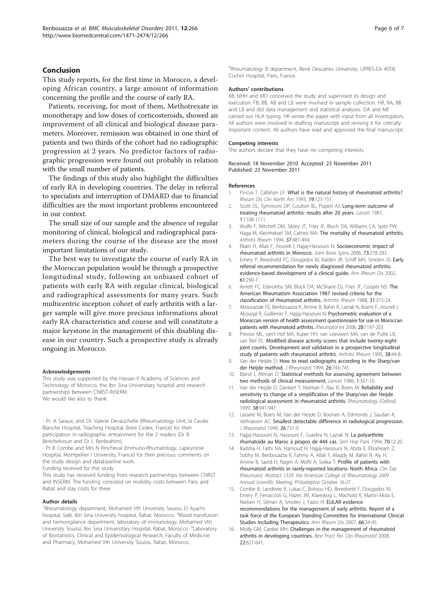## <span id="page-5-0"></span>Conclusion

This study reports, for the first time in Morocco, a developing African country, a large amount of information concerning the profile and the course of early RA.

Patients, receiving, for most of them, Methotrexate in monotherapy and low doses of corticosteroids, showed an improvement of all clinical and biological disease parameters. Moreover, remission was obtained in one third of patients and two thirds of the cohort had no radiographic progression at 2 years. No predictor factors of radiographic progression were found out probably in relation with the small number of patients.

The findings of this study also highlight the difficulties of early RA in developing countries. The delay in referral to specialists and interruption of DMARD due to financial difficulties are the most important problems encountered in our context.

The small size of our sample and the absence of regular monitoring of clinical, biological and radiographical parameters during the course of the disease are the most important limitations of our study.

The best way to investigate the course of early RA in the Moroccan population would be through a prospective longitudinal study, following an unbiased cohort of patients with early RA with regular clinical, biological and radiographical assessments for many years. Such multicentric inception cohort of early arthritis with a larger sample will give more precious informations about early RA characteristics and course and will constitute a major keystone in the management of this disabling disease in our country. Such a prospective study is already ongoing in Morocco.

#### Acknowledgements

This study was supported by the Hassan II Academy of Sciences and Technology of Morocco, the Ibn Sina Universitary hospital and research partnerships between CNRST-INSERM. We would like also to thank:

- Pr. A Saraux, and Dr. Valerie Devauchelle (Rheumatology Unit, la Cavale Blanche Hospital, Teaching Hospital, Brest Cedex, France) for their participation in radiographic entrainment for the 2 readers (Dr B Benchekroun and Dr L Benbrahim).

- Pr B Combe and Mrs N Rincheval (Immuno-Rhumatology, Lapeyronie Hospital, Montpellier I University, France) for their precious comments on the study design and databaseline work.

Funding received for this study

This study has received funding from research partnerships between CNRST and INSERM. The funding consisted on mobility costs between Paris and Rabat and stay costs for three

#### Author details

<sup>1</sup>Rheumatology department, Mohamed Vth University Souissi, El Ayachi hospital, Salé, Ibn Sina University hospital, Rabat, Morocco. <sup>2</sup>Blood transfusion and hemovigilance department, laboratory of immunology, Mohamed Vth University Souissi, Ibn Sina Universitary Hospital, Rabat, Morocco. <sup>3</sup>Laboratory of Biostatistics, Clinical and Epidemiological Research, Faculty of Medicine and Pharmacy, Mohamed Vth University Souissi, Rabat, Morocco.

4 Rheumatology B department, René Descartes University, UPRES-EA 4058, Cochin Hospital, Paris, France.

#### Authors' contributions

KB, NHH and MD conceived the study and supervised its design and execution. FB, BB, AB and LB were involved in sample collection. HR, RA, BB and LB and did data management and statistical analyses. OA and ME carried out HLA typing. HR wrote the paper with input from all investigators. All authors were involved in drafting manuscript and revising it for critically important content. All authors have read and approved the final manuscript.

#### Competing interests

The authors declare that they have no competing interests.

Received: 18 November 2010 Accepted: 23 November 2011 Published: 23 November 2011

#### References

- 1. Pincus T, Callahan LF: [What is the natural history of rheumatoid arthritis?](http://www.ncbi.nlm.nih.gov/pubmed/8356248?dopt=Abstract) Rheum Dis Clin North Am 1993, 19:123-151.
- 2. Scott DL, Symmons DP, Coulton BL, Popert AJ: [Long-term outcome of](http://www.ncbi.nlm.nih.gov/pubmed/2883443?dopt=Abstract) [treating rheumatoid arthritis: results after 20 years.](http://www.ncbi.nlm.nih.gov/pubmed/2883443?dopt=Abstract) Lancet 1987, 1:1108-1111.
- 3. Wolfe F, Mitchell DM, Sibley JT, Fries JF, Bloch DA, Williams CA, Spitz PW, Haga M, Kleinheksel SM, Cathey MA: [The mortality of rheumatoid arthritis.](http://www.ncbi.nlm.nih.gov/pubmed/8147925?dopt=Abstract) Arthritis Rheum 1994, 37:481-494.
- 4. Rkain H, Allali F, Jroundi I, Hajjaj-Hassouni N: [Socioeconomic impact of](http://www.ncbi.nlm.nih.gov/pubmed/16376598?dopt=Abstract) [rheumatoid arthritis in Morocco.](http://www.ncbi.nlm.nih.gov/pubmed/16376598?dopt=Abstract) Joint Bone Spine 2006, 73:278-283.
- 5. Emery P, Breedveld FC, Dougados M, Kalden JR, Schiff MH, Smolen JS: [Early](http://www.ncbi.nlm.nih.gov/pubmed/11874828?dopt=Abstract) [referral recommendation for newly diagnosed rheumatoid arthritis:](http://www.ncbi.nlm.nih.gov/pubmed/11874828?dopt=Abstract) [evidence-based development of a clinical guide.](http://www.ncbi.nlm.nih.gov/pubmed/11874828?dopt=Abstract) Ann Rheum Dis 2002, 61:290-7.
- 6. Arnett FC, Edworthy SM, Block DA, McShane DJ, Fries JF, Cooper NS: [The](http://www.ncbi.nlm.nih.gov/pubmed/3358796?dopt=Abstract) [American Rheumatism Association 1987 revised criteria for the](http://www.ncbi.nlm.nih.gov/pubmed/3358796?dopt=Abstract) [classification of rheumatoid arthritis.](http://www.ncbi.nlm.nih.gov/pubmed/3358796?dopt=Abstract) Arthritis Rheum 1988, 31:315-24.
- 7. Abourazzak FE, Benbouazza K, Amine B, Bahiri R, Lazrak N, Bzami F, Jroundi I, Abouqal R, Guillemin F, Hajjaj-Hassouni N: [Psychometric evaluation of a](http://www.ncbi.nlm.nih.gov/pubmed/18535829?dopt=Abstract) [Moroccan version of health assessment questionnaire for use in Moroccan](http://www.ncbi.nlm.nih.gov/pubmed/18535829?dopt=Abstract) [patients with rheumatoid arthritis.](http://www.ncbi.nlm.nih.gov/pubmed/18535829?dopt=Abstract) Rheumatol Int 2008, 28:1197-203.
- 8. Prevoo ML, van't Hof MA, Kuper HH, van Leeuwen MA, van de Putte LB, van Riel PL: [Modified disease activity scores that include twenty-eight](http://www.ncbi.nlm.nih.gov/pubmed/7818570?dopt=Abstract)[joint counts. Development and validation in a prospective longitudinal](http://www.ncbi.nlm.nih.gov/pubmed/7818570?dopt=Abstract) [study of patients with rheumatoid arthritis.](http://www.ncbi.nlm.nih.gov/pubmed/7818570?dopt=Abstract) Arthritis Rheum 1995, 38:44-8.
- 9. Van der Heijde D: [How to read radiographs according to the Sharp/van](http://www.ncbi.nlm.nih.gov/pubmed/10090194?dopt=Abstract) [der Heijde method.](http://www.ncbi.nlm.nih.gov/pubmed/10090194?dopt=Abstract) J Rheumatol 1999, 26:743-745.
- 10. Bland J, Altman D: [Statistical methods for assessing agreement between](http://www.ncbi.nlm.nih.gov/pubmed/2868172?dopt=Abstract) [two methods of clinical measurement.](http://www.ncbi.nlm.nih.gov/pubmed/2868172?dopt=Abstract) Lancet 1986, 1:307-10.
- 11. Van der Heijde D, Dankert T, Nieman F, Rau R, Boers M: Reliability and sensitivity to change of a simplification of the Sharp/van der Heijde radiological assessment in rheumatoid arthritis. Rheumatology (Oxford) 1999, 38:941-947.
- 12. Lassere M, Boers M, Van der Heijde D, Boonen A, Edmonds J, Saudan A, Verhoeven AC: [Smallest detectable difference in radiological progression.](http://www.ncbi.nlm.nih.gov/pubmed/10090192?dopt=Abstract) J Rheumatol 1999, 26:731-9.
- 13. Hajjaj-Hassouni N, Hassouni F, Guedira N, Lazrak N: La polyarthrite rhumatoïde au Maroc à propos de 444 cas. Sem Hop Paris 1994, 70:12-20.
- 14. Badsha H, Fathi NA, Hamoud H, Hajjaj-Hassouni N, Abda E, Ebraheam Z, Sobhy M, Benbouazza K, Fahmy A, Allali F, Magdy M, Bahiri R, Aly H, Amine B, Saeid H, Nagm A, Mofti A, Sokka T: Profile of patients with rheumatoid arthritis in rarely-reported locations: North Africa. Clin Exp Rheumatol, Abstract 1339: the American College of Rheumatology 2009 Annual Scientific Meeting, Philadelphia October 16-21 .
- 15. Combe B, Landewe R, Lukas C, Bolosiu HD, Breedveld F, Dougados M, Emery P, Ferraccioli G, Hazes JM, Klareskog L, Machold K, Martin-Mola E, Nielsen H, Silman A, Smolen J, Yazici H: [EULAR evidence](http://www.ncbi.nlm.nih.gov/pubmed/16396980?dopt=Abstract) [recommendations for the management of early arthritis. Report of a](http://www.ncbi.nlm.nih.gov/pubmed/16396980?dopt=Abstract) [task force of the European Standing Committee for International Clinical](http://www.ncbi.nlm.nih.gov/pubmed/16396980?dopt=Abstract) [Studies Including Therapeutics.](http://www.ncbi.nlm.nih.gov/pubmed/16396980?dopt=Abstract) Ann Rheum Dis 2007, 66:34-45.
- 16. Mody GM, Cardiel MH: [Challenges in the management of rheumatoid](http://www.ncbi.nlm.nih.gov/pubmed/18783741?dopt=Abstract) [arthritis in developing countries.](http://www.ncbi.nlm.nih.gov/pubmed/18783741?dopt=Abstract) Best Pract Res Clin Rheumatol 2008, 22:621-641.